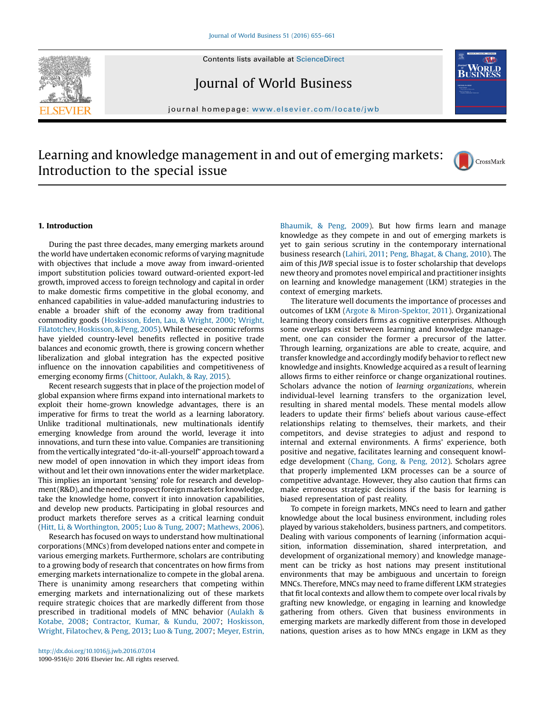**SEVIER** 

# Journal of World Business



journal homepage: <www.elsevier.com/locate/jwb>b/state/jwbb/state/jwbb/state/jwbb/state/jwbb/state/jwbb/state/jwbb/state/jwbb/state/jwbb/state/jwbb/state/jwbb/state/jwbb/state/jwbb/state/jwbb/state/jwbb/state/jwbb/state/jwb

# Learning and knowledge management in and out of emerging markets: Introduction to the special issue



## 1. Introduction

During the past three decades, many emerging markets around the world have undertaken economic reforms of varying magnitude with objectives that include a move away from inward-oriented import substitution policies toward outward-oriented export-led growth, improved access to foreign technology and capital in order to make domestic firms competitive in the global economy, and enhanced capabilities in value-added manufacturing industries to enable a broader shift of the economy away from traditional commodity goods [\(Hoskisson,](#page-6-0) Eden, Lau, & Wright, 2000; [Wright,](#page-6-0) Filatotchev, Hoskisson, & Peng, 2005). While these economic reforms have yielded country-level benefits reflected in positive trade balances and economic growth, there is growing concern whether liberalization and global integration has the expected positive influence on the innovation capabilities and competitiveness of emerging economy firms [\(Chittoor,](#page-6-0) Aulakh, & Ray, 2015).

Recent research suggests that in place of the projection model of global expansion where firms expand into international markets to exploit their home-grown knowledge advantages, there is an imperative for firms to treat the world as a learning laboratory. Unlike traditional multinationals, new multinationals identify emerging knowledge from around the world, leverage it into innovations, and turn these into value. Companies are transitioning fromthe vertically integrated "do-it-all-yourself" approach toward a new model of open innovation in which they import ideas from without and let their own innovations enter the wider marketplace. This implies an important 'sensing' role for research and development (R&D), and the need to prospect foreign markets for knowledge, take the knowledge home, convert it into innovation capabilities, and develop new products. Participating in global resources and product markets therefore serves as a critical learning conduit (Hitt, Li, & [Worthington,](#page-6-0) 2005; Luo & [Tung,](#page-6-0) 2007; [Mathews,](#page-6-0) 2006).

Research has focused on ways to understand how multinational corporations (MNCs) from developed nations enter and compete in various emerging markets. Furthermore, scholars are contributing to a growing body of research that concentrates on how firms from emerging markets internationalize to compete in the global arena. There is unanimity among researchers that competing within emerging markets and internationalizing out of these markets require strategic choices that are markedly different from those prescribed in traditional models of MNC behavior [\(Aulakh](#page-6-0) & [Kotabe,](#page-6-0) 2008; [Contractor,](#page-6-0) Kumar, & Kundu, 2007; [Hoskisson,](#page-6-0) Wright, [Filatochev,](#page-6-0) & Peng, 2013; Luo & [Tung,](#page-6-0) 2007; [Meyer,](#page-6-0) Estrin, [Bhaumik,](#page-6-0) & Peng, 2009). But how firms learn and manage knowledge as they compete in and out of emerging markets is yet to gain serious scrutiny in the contemporary international business research [\(Lahiri,](#page-6-0) 2011; Peng, [Bhagat,](#page-6-0) & Chang, 2010). The aim of this JWB special issue is to foster scholarship that develops new theory and promotes novel empirical and practitioner insights on learning and knowledge management (LKM) strategies in the context of emerging markets.

The literature well documents the importance of processes and outcomes of LKM (Argote & [Miron-Spektor,](#page-6-0) 2011). Organizational learning theory considers firms as cognitive enterprises. Although some overlaps exist between learning and knowledge management, one can consider the former a precursor of the latter. Through learning, organizations are able to create, acquire, and transfer knowledge and accordingly modify behavior to reflect new knowledge and insights. Knowledge acquired as a result of learning allows firms to either reinforce or change organizational routines. Scholars advance the notion of learning organizations, wherein individual-level learning transfers to the organization level, resulting in shared mental models. These mental models allow leaders to update their firms' beliefs about various cause-effect relationships relating to themselves, their markets, and their competitors, and devise strategies to adjust and respond to internal and external environments. A firms' experience, both positive and negative, facilitates learning and consequent knowledge development [\(Chang,](#page-6-0) Gong, & Peng, 2012). Scholars agree that properly implemented LKM processes can be a source of competitive advantage. However, they also caution that firms can make erroneous strategic decisions if the basis for learning is biased representation of past reality.

To compete in foreign markets, MNCs need to learn and gather knowledge about the local business environment, including roles played by various stakeholders, business partners, and competitors. Dealing with various components of learning (information acquisition, information dissemination, shared interpretation, and development of organizational memory) and knowledge management can be tricky as host nations may present institutional environments that may be ambiguous and uncertain to foreign MNCs. Therefore, MNCs may need to frame different LKM strategies that fit local contexts and allow them to compete over local rivals by grafting new knowledge, or engaging in learning and knowledge gathering from others. Given that business environments in emerging markets are markedly different from those in developed nations, question arises as to how MNCs engage in LKM as they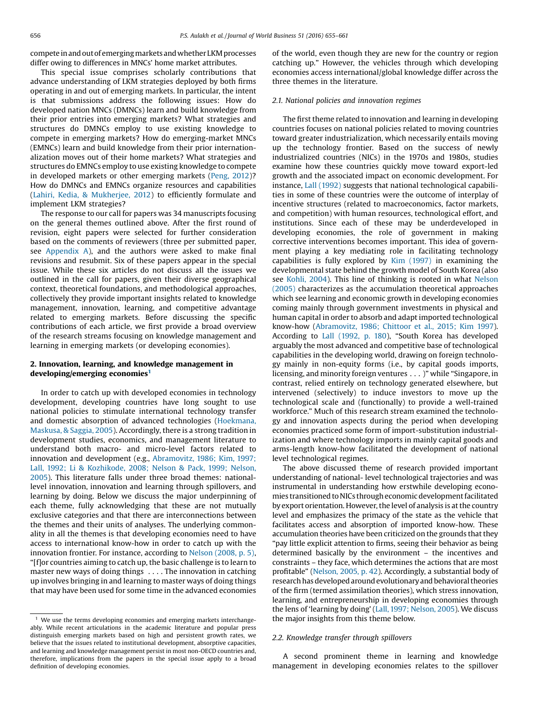compete in and out of emerging markets and whether LKM processes differ owing to differences in MNCs' home market attributes.

This special issue comprises scholarly contributions that advance understanding of LKM strategies deployed by both firms operating in and out of emerging markets. In particular, the intent is that submissions address the following issues: How do developed nation MNCs (DMNCs) learn and build knowledge from their prior entries into emerging markets? What strategies and structures do DMNCs employ to use existing knowledge to compete in emerging markets? How do emerging-market MNCs (EMNCs) learn and build knowledge from their prior internationalization moves out of their home markets? What strategies and structures do EMNCs employ to use existing knowledge to compete in developed markets or other emerging markets [\(Peng,](#page-6-0) 2012)? How do DMNCs and EMNCs organize resources and capabilities (Lahiri, Kedia, & [Mukherjee,](#page-6-0) 2012) to efficiently formulate and implement LKM strategies?

The response to our call for papers was 34 manuscripts focusing on the general themes outlined above. After the first round of revision, eight papers were selected for further consideration based on the comments of reviewers (three per submitted paper, see [Appendix](#page-5-0) A), and the authors were asked to make final revisions and resubmit. Six of these papers appear in the special issue. While these six articles do not discuss all the issues we outlined in the call for papers, given their diverse geographical context, theoretical foundations, and methodological approaches, collectively they provide important insights related to knowledge management, innovation, learning, and competitive advantage related to emerging markets. Before discussing the specific contributions of each article, we first provide a broad overview of the research streams focusing on knowledge management and learning in emerging markets (or developing economies).

# 2. Innovation, learning, and knowledge management in developing/emerging economies<sup>1</sup>

In order to catch up with developed economies in technology development, developing countries have long sought to use national policies to stimulate international technology transfer and domestic absorption of advanced technologies ([Hoekmana,](#page-6-0) [Maskusa,](#page-6-0) & Saggia, 2005). Accordingly, there is a strong tradition in development studies, economics, and management literature to understand both macro- and micro-level factors related to innovation and development (e.g., [Abramovitz,](#page-6-0) 1986; Kim, 1997; Lall, 1992; Li & [Kozhikode,](#page-6-0) 2008; Nelson & Pack, 1999; Nelson, [2005](#page-6-0)). This literature falls under three broad themes: nationallevel innovation, innovation and learning through spillovers, and learning by doing. Below we discuss the major underpinning of each theme, fully acknowledging that these are not mutually exclusive categories and that there are interconnections between the themes and their units of analyses. The underlying commonality in all the themes is that developing economies need to have access to international know-how in order to catch up with the innovation frontier. For instance, according to [Nelson](#page-6-0) (2008, p. 5), "[f]or countries aiming to catch up, the basic challenge is to learn to master new ways of doing things . . . . The innovation in catching up involves bringing in and learning to master ways of doing things that may have been used for some time in the advanced economies of the world, even though they are new for the country or region catching up." However, the vehicles through which developing economies access international/global knowledge differ across the three themes in the literature.

## 2.1. National policies and innovation regimes

The first theme related to innovation and learning in developing countries focuses on national policies related to moving countries toward greater industrialization, which necessarily entails moving up the technology frontier. Based on the success of newly industrialized countries (NICs) in the 1970s and 1980s, studies examine how these countries quickly move toward export-led growth and the associated impact on economic development. For instance, Lall [\(1992\)](#page-6-0) suggests that national technological capabilities in some of these countries were the outcome of interplay of incentive structures (related to macroeconomics, factor markets, and competition) with human resources, technological effort, and institutions. Since each of these may be underdeveloped in developing economies, the role of government in making corrective interventions becomes important. This idea of government playing a key mediating role in facilitating technology capabilities is fully explored by Kim [\(1997\)](#page-6-0) in examining the developmental state behind the growth model of South Korea (also see [Kohli,](#page-6-0) 2004). This line of thinking is rooted in what [Nelson](#page-6-0) [\(2005\)](#page-6-0) characterizes as the accumulation theoretical approaches which see learning and economic growth in developing economies coming mainly through government investments in physical and human capital in order to absorb and adapt imported technological know-how ([Abramovitz,](#page-6-0) 1986; Chittoor et al., 2015; Kim 1997). According to Lall [\(1992,](#page-6-0) p. 180), "South Korea has developed arguably the most advanced and competitive base of technological capabilities in the developing world, drawing on foreign technology mainly in non-equity forms (i.e., by capital goods imports, licensing, and minority foreign ventures . . . )" while "Singapore, in contrast, relied entirely on technology generated elsewhere, but intervened (selectively) to induce investors to move up the technological scale and (functionally) to provide a well-trained workforce." Much of this research stream examined the technology and innovation aspects during the period when developing economies practiced some form of import-substitution industrialization and where technology imports in mainly capital goods and arms-length know-how facilitated the development of national level technological regimes.

The above discussed theme of research provided important understanding of national- level technological trajectories and was instrumental in understanding how erstwhile developing economies transitioned to NICs through economic development facilitated by export orientation. However, the level of analysis is at the country level and emphasizes the primacy of the state as the vehicle that facilitates access and absorption of imported know-how. These accumulation theories have been criticized on the grounds that they "pay little explicit attention to firms, seeing their behavior as being determined basically by the environment – the incentives and constraints – they face, which determines the actions that are most profitable" [\(Nelson,](#page-6-0) 2005, p. 42). Accordingly, a substantial body of research has developed around evolutionary and behavioral theories of the firm (termed assimilation theories), which stress innovation, learning, and entrepreneurship in developing economies through the lens of 'learning by doing' [\(Lall,1997;](#page-6-0) Nelson, 2005). We discuss the major insights from this theme below.

## 2.2. Knowledge transfer through spillovers

A second prominent theme in learning and knowledge management in developing economies relates to the spillover

 $1$  We use the terms developing economies and emerging markets interchangeably. While recent articulations in the academic literature and popular press distinguish emerging markets based on high and persistent growth rates, we believe that the issues related to institutional development, absorptive capacities, and learning and knowledge management persist in most non-OECD countries and, therefore, implications from the papers in the special issue apply to a broad definition of developing economies.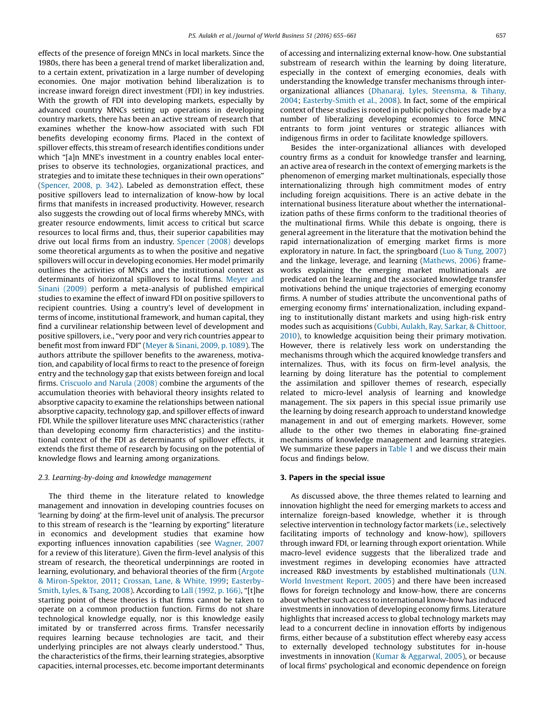effects of the presence of foreign MNCs in local markets. Since the 1980s, there has been a general trend of market liberalization and, to a certain extent, privatization in a large number of developing economies. One major motivation behind liberalization is to increase inward foreign direct investment (FDI) in key industries. With the growth of FDI into developing markets, especially by advanced country MNCs setting up operations in developing country markets, there has been an active stream of research that examines whether the know-how associated with such FDI benefits developing economy firms. Placed in the context of spillover effects, this stream of research identifies conditions under which "[a]n MNE's investment in a country enables local enterprises to observe its technologies, organizational practices, and strategies and to imitate these techniques in their own operations" ([Spencer,](#page-6-0) 2008, p. 342). Labeled as demonstration effect, these positive spillovers lead to internalization of know-how by local firms that manifests in increased productivity. However, research also suggests the crowding out of local firms whereby MNCs, with greater resource endowments, limit access to critical but scarce resources to local firms and, thus, their superior capabilities may drive out local firms from an industry. [Spencer](#page-6-0) (2008) develops some theoretical arguments as to when the positive and negative spillovers will occur in developing economies. Her model primarily outlines the activities of MNCs and the institutional context as determinants of horizontal spillovers to local firms. [Meyer](#page-6-0) and Sinani [\(2009\)](#page-6-0) perform a meta-analysis of published empirical studies to examine the effect of inward FDI on positive spillovers to recipient countries. Using a country's level of development in terms of income, institutional framework, and human capital, they find a curvilinear relationship between level of development and positive spillovers, i.e., "very poor and very rich countries appear to benefit most from inward FDI" (Meyer & Sinani, 2009, [p.1089\)](#page-6-0). The authors attribute the spillover benefits to the awareness, motivation, and capability of local firms to react to the presence of foreign entry and the technology gap that exists between foreign and local firms. [Criscuolo](#page-6-0) and Narula (2008) combine the arguments of the accumulation theories with behavioral theory insights related to absorptive capacity to examine the relationships between national absorptive capacity, technology gap, and spillover effects of inward FDI. While the spillover literature uses MNC characteristics (rather than developing economy firm characteristics) and the institutional context of the FDI as determinants of spillover effects, it extends the first theme of research by focusing on the potential of knowledge flows and learning among organizations.

## 2.3. Learning-by-doing and knowledge management

The third theme in the literature related to knowledge management and innovation in developing countries focuses on 'learning by doing' at the firm-level unit of analysis. The precursor to this stream of research is the "learning by exporting" literature in economics and development studies that examine how exporting influences innovation capabilities (see [Wagner,](#page-6-0) 2007 for a review of this literature). Given the firm-level analysis of this stream of research, the theoretical underpinnings are rooted in learning, evolutionary, and behavioral theories of the firm [\(Argote](#page-6-0) & [Miron-Spektor,](#page-6-0) 2011; [Crossan,](#page-6-0) Lane, & White, 1999; [Easterby-](#page-6-0)[Smith,](#page-6-0) Lyles, & Tsang, 2008). According to Lall [\(1992,](#page-6-0) p. 166), "[t]he starting point of these theories is that firms cannot be taken to operate on a common production function. Firms do not share technological knowledge equally, nor is this knowledge easily imitated by or transferred across firms. Transfer necessarily requires learning because technologies are tacit, and their underlying principles are not always clearly understood." Thus, the characteristics of the firms, their learning strategies, absorptive capacities, internal processes, etc. become important determinants of accessing and internalizing external know-how. One substantial substream of research within the learning by doing literature, especially in the context of emerging economies, deals with understanding the knowledge transfer mechanisms through interorganizational alliances (Dhanaraj, Lyles, [Steensma,](#page-6-0) & Tihany, [2004](#page-6-0); [Easterby-Smith](#page-6-0) et al., 2008). In fact, some of the empirical context of these studies is rooted in public policy choices made by a number of liberalizing developing economies to force MNC entrants to form joint ventures or strategic alliances with indigenous firms in order to facilitate knowledge spillovers.

Besides the inter-organizational alliances with developed country firms as a conduit for knowledge transfer and learning, an active area of research in the context of emerging markets is the phenomenon of emerging market multinationals, especially those internationalizing through high commitment modes of entry including foreign acquisitions. There is an active debate in the international business literature about whether the internationalization paths of these firms conform to the traditional theories of the multinational firms. While this debate is ongoing, there is general agreement in the literature that the motivation behind the rapid internationalization of emerging market firms is more exploratory in nature. In fact, the springboard (Luo & [Tung,](#page-6-0) 2007) and the linkage, leverage, and learning [\(Mathews,](#page-6-0) 2006) frameworks explaining the emerging market multinationals are predicated on the learning and the associated knowledge transfer motivations behind the unique trajectories of emerging economy firms. A number of studies attribute the unconventional paths of emerging economy firms' internationalization, including expanding to institutionally distant markets and using high-risk entry modes such as acquisitions (Gubbi, Aulakh, Ray, Sarkar, & [Chittoor,](#page-6-0) [2010](#page-6-0)), to knowledge acquisition being their primary motivation. However, there is relatively less work on understanding the mechanisms through which the acquired knowledge transfers and internalizes. Thus, with its focus on firm-level analysis, the learning by doing literature has the potential to complement the assimilation and spillover themes of research, especially related to micro-level analysis of learning and knowledge management. The six papers in this special issue primarily use the learning by doing research approach to understand knowledge management in and out of emerging markets. However, some allude to the other two themes in elaborating fine-grained mechanisms of knowledge management and learning strategies. We summarize these papers in [Table](#page-3-0) 1 and we discuss their main focus and findings below.

### 3. Papers in the special issue

As discussed above, the three themes related to learning and innovation highlight the need for emerging markets to access and internalize foreign-based knowledge, whether it is through selective intervention in technology factor markets (i.e., selectively facilitating imports of technology and know-how), spillovers through inward FDI, or learning through export orientation. While macro-level evidence suggests that the liberalized trade and investment regimes in developing economies have attracted increased R&D investments by established multinationals ([U.N.](#page-6-0) World [Investment](#page-6-0) Report, 2005) and there have been increased flows for foreign technology and know-how, there are concerns about whether such access to international know-how has induced investments in innovation of developing economy firms. Literature highlights that increased access to global technology markets may lead to a concurrent decline in innovation efforts by indigenous firms, either because of a substitution effect whereby easy access to externally developed technology substitutes for in-house investments in innovation (Kumar & [Aggarwal,](#page-6-0) 2005), or because of local firms' psychological and economic dependence on foreign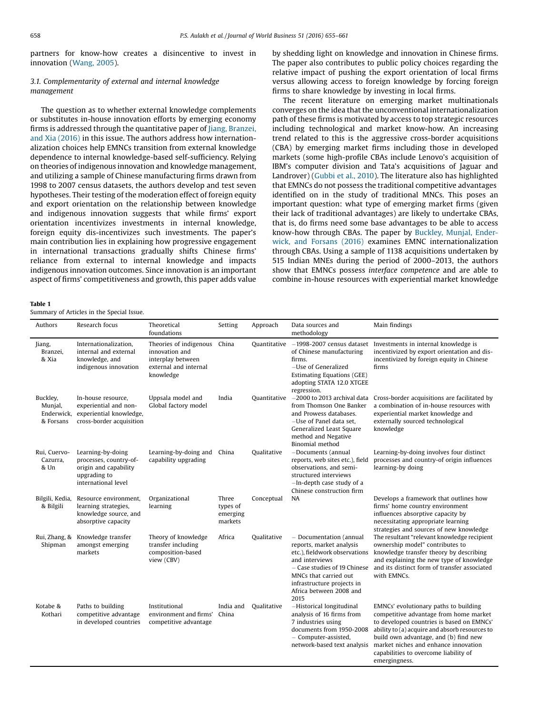<span id="page-3-0"></span>partners for know-how creates a disincentive to invest in innovation ([Wang,](#page-6-0) 2005).

# 3.1. Complementarity of external and internal knowledge management

The question as to whether external knowledge complements or substitutes in-house innovation efforts by emerging economy firms is addressed through the quantitative paper of Jiang, [Branzei,](#page-6-0) and Xia [\(2016\)](#page-6-0) in this issue. The authors address how internationalization choices help EMNCs transition from external knowledge dependence to internal knowledge-based self-sufficiency. Relying on theories of indigenous innovation and knowledge management, and utilizing a sample of Chinese manufacturing firms drawn from 1998 to 2007 census datasets, the authors develop and test seven hypotheses. Their testing of the moderation effect of foreign equity and export orientation on the relationship between knowledge and indigenous innovation suggests that while firms' export orientation incentivizes investments in internal knowledge, foreign equity dis-incentivizes such investments. The paper's main contribution lies in explaining how progressive engagement in international transactions gradually shifts Chinese firms' reliance from external to internal knowledge and impacts indigenous innovation outcomes. Since innovation is an important aspect of firms' competitiveness and growth, this paper adds value

by shedding light on knowledge and innovation in Chinese firms. The paper also contributes to public policy choices regarding the relative impact of pushing the export orientation of local firms versus allowing access to foreign knowledge by forcing foreign firms to share knowledge by investing in local firms.

The recent literature on emerging market multinationals converges on the idea that the unconventional internationalization path of these firms is motivated by access to top strategic resources including technological and market know-how. An increasing trend related to this is the aggressive cross-border acquisitions (CBA) by emerging market firms including those in developed markets (some high-profile CBAs include Lenovo's acquisition of IBM's computer division and Tata's acquisitions of Jaguar and Landrover) ([Gubbi](#page-6-0) et al., 2010). The literature also has highlighted that EMNCs do not possess the traditional competitive advantages identified on in the study of traditional MNCs. This poses an important question: what type of emerging market firms (given their lack of traditional advantages) are likely to undertake CBAs, that is, do firms need some base advantages to be able to access know-how through CBAs. The paper by [Buckley,](#page-6-0) Munjal, Enderwick, and [Forsans](#page-6-0) (2016) examines EMNC internationalization through CBAs. Using a sample of 1138 acquisitions undertaken by 515 Indian MNEs during the period of 2000–2013, the authors show that EMNCs possess interface competence and are able to combine in-house resources with experiential market knowledge

Table 1

Summary of Articles in the Special Issue.

| Authors                          | Research focus                                                                                                | Theoretical<br>foundations                                                                          | Setting                                  | Approach     | Data sources and<br>methodology                                                                                                                                                                                                    | Main findings                                                                                                                                                                                                                                                                                                             |
|----------------------------------|---------------------------------------------------------------------------------------------------------------|-----------------------------------------------------------------------------------------------------|------------------------------------------|--------------|------------------------------------------------------------------------------------------------------------------------------------------------------------------------------------------------------------------------------------|---------------------------------------------------------------------------------------------------------------------------------------------------------------------------------------------------------------------------------------------------------------------------------------------------------------------------|
| Jiang,<br>Branzei,<br>& Xia      | Internationalization,<br>internal and external<br>knowledge, and<br>indigenous innovation                     | Theories of indigenous<br>innovation and<br>interplay between<br>external and internal<br>knowledge | China                                    |              | Quantitative -1998-2007 census dataset<br>of Chinese manufacturing<br>firms.<br>-Use of Generalized<br><b>Estimating Equations (GEE)</b><br>adopting STATA 12.0 XTGEE<br>regression.                                               | Investments in internal knowledge is<br>incentivized by export orientation and dis-<br>incentivized by foreign equity in Chinese<br>firms                                                                                                                                                                                 |
| Buckley,<br>Munjal,<br>& Forsans | In-house resource,<br>experiential and non-<br>Enderwick, experiential knowledge,<br>cross-border acquisition | Uppsala model and<br>Global factory model                                                           | India                                    | Quantitative | $-2000$ to 2013 archival data<br>from Thomson One Banker<br>and Prowess databases.<br>-Use of Panel data set.<br>Generalized Least Square<br>method and Negative<br><b>Binomial</b> method                                         | Cross-border acquisitions are facilitated by<br>a combination of in-house resources with<br>experiential market knowledge and<br>externally sourced technological<br>knowledge                                                                                                                                            |
| Rui, Cuervo-<br>Cazurra.<br>& Un | Learning-by-doing<br>processes, country-of-<br>origin and capability<br>upgrading to<br>international level   | Learning-by-doing and China<br>capability upgrading                                                 |                                          | Qualitative  | -Documents (annual<br>reports, web sites etc.), field<br>observations, and semi-<br>structured interviews<br>-In-depth case study of a<br>Chinese construction firm                                                                | Learning-by-doing involves four distinct<br>processes and country-of origin influences<br>learning-by doing                                                                                                                                                                                                               |
| Bilgili, Kedia,<br>& Bilgili     | Resource environment,<br>learning strategies,<br>knowledge source, and<br>absorptive capacity                 | Organizational<br>learning                                                                          | Three<br>types of<br>emerging<br>markets | Conceptual   | <b>NA</b>                                                                                                                                                                                                                          | Develops a framework that outlines how<br>firms' home country environment<br>influences absorptive capacity by<br>necessitating appropriate learning<br>strategies and sources of new knowledge                                                                                                                           |
| Shipman                          | Rui, Zhang, & Knowledge transfer<br>amongst emerging<br>markets                                               | Theory of knowledge<br>transfer including<br>composition-based<br>view (CBV)                        | Africa                                   | Qualitative  | $-$ Documentation (annual<br>reports, market analysis<br>etc.), fieldwork observations<br>and interviews<br>- Case studies of 19 Chinese<br>MNCs that carried out<br>infrastructure projects in<br>Africa between 2008 and<br>2015 | The resultant "relevant knowledge recipient<br>ownership model" contributes to<br>knowledge transfer theory by describing<br>and explaining the new type of knowledge<br>and its distinct form of transfer associated<br>with EMNCs.                                                                                      |
| Kotabe &<br>Kothari              | Paths to building<br>competitive advantage<br>in developed countries                                          | Institutional<br>environment and firms'<br>competitive advantage                                    | India and<br>China                       | Qualitative  | -Historical longitudinal<br>analysis of 16 firms from<br>7 industries using<br>documents from 1950-2008<br>- Computer-assisted,<br>network-based text analysis                                                                     | EMNCs' evolutionary paths to building<br>competitive advantage from home market<br>to developed countries is based on EMNCs'<br>ability to (a) acquire and absorb resources to<br>build own advantage, and (b) find new<br>market niches and enhance innovation<br>capabilities to overcome liability of<br>emergingness. |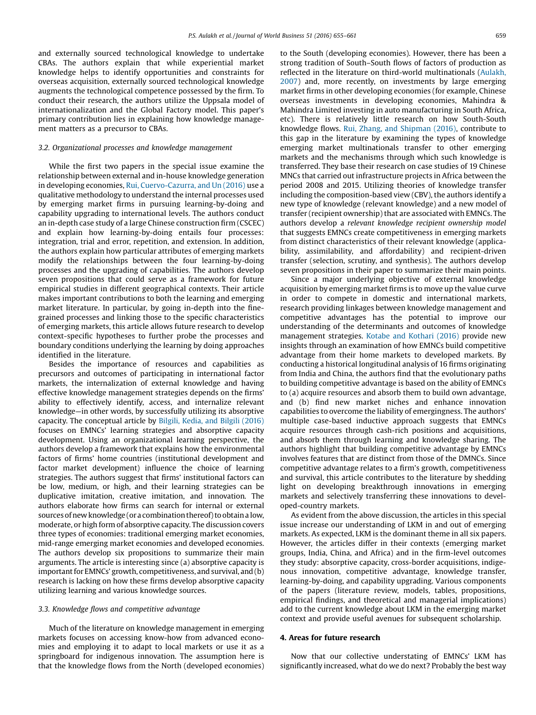and externally sourced technological knowledge to undertake CBAs. The authors explain that while experiential market knowledge helps to identify opportunities and constraints for overseas acquisition, externally sourced technological knowledge augments the technological competence possessed by the firm. To conduct their research, the authors utilize the Uppsala model of internationalization and the Global Factory model. This paper's primary contribution lies in explaining how knowledge management matters as a precursor to CBAs.

## 3.2. Organizational processes and knowledge management

While the first two papers in the special issue examine the relationship between external and in-house knowledge generation in developing economies, Rui, [Cuervo-Cazurra,](#page-6-0) and Un (2016) use a qualitative methodology to understand the internal processes used by emerging market firms in pursuing learning-by-doing and capability upgrading to international levels. The authors conduct an in-depth case study of a large Chinese construction firm (CSCEC) and explain how learning-by-doing entails four processes: integration, trial and error, repetition, and extension. In addition, the authors explain how particular attributes of emerging markets modify the relationships between the four learning-by-doing processes and the upgrading of capabilities. The authors develop seven propositions that could serve as a framework for future empirical studies in different geographical contexts. Their article makes important contributions to both the learning and emerging market literature. In particular, by going in-depth into the finegrained processes and linking those to the specific characteristics of emerging markets, this article allows future research to develop context-specific hypotheses to further probe the processes and boundary conditions underlying the learning by doing approaches identified in the literature.

Besides the importance of resources and capabilities as precursors and outcomes of participating in international factor markets, the internalization of external knowledge and having effective knowledge management strategies depends on the firms' ability to effectively identify, access, and internalize relevant knowledge—in other words, by successfully utilizing its absorptive capacity. The conceptual article by Bilgili, Kedia, and Bilgili [\(2016\)](#page-6-0) focuses on EMNCs' learning strategies and absorptive capacity development. Using an organizational learning perspective, the authors develop a framework that explains how the environmental factors of firms' home countries (institutional development and factor market development) influence the choice of learning strategies. The authors suggest that firms' institutional factors can be low, medium, or high, and their learning strategies can be duplicative imitation, creative imitation, and innovation. The authors elaborate how firms can search for internal or external sources of new knowledge (or a combination thereof) to obtain a low, moderate, or high form of absorptive capacity. The discussion covers three types of economies: traditional emerging market economies, mid-range emerging market economies and developed economies. The authors develop six propositions to summarize their main arguments. The article is interesting since (a) absorptive capacity is important for EMNCs' growth, competitiveness, and survival, and (b) research is lacking on how these firms develop absorptive capacity utilizing learning and various knowledge sources.

#### 3.3. Knowledge flows and competitive advantage

Much of the literature on knowledge management in emerging markets focuses on accessing know-how from advanced economies and employing it to adapt to local markets or use it as a springboard for indigenous innovation. The assumption here is that the knowledge flows from the North (developed economies) to the South (developing economies). However, there has been a strong tradition of South–South flows of factors of production as reflected in the literature on third-world multinationals ([Aulakh,](#page-6-0) [2007](#page-6-0)) and, more recently, on investments by large emerging market firms in other developing economies (for example, Chinese overseas investments in developing economies, Mahindra & Mahindra Limited investing in auto manufacturing in South Africa, etc). There is relatively little research on how South-South knowledge flows. Rui, Zhang, and [Shipman](#page-6-0) (2016), contribute to this gap in the literature by examining the types of knowledge emerging market multinationals transfer to other emerging markets and the mechanisms through which such knowledge is transferred. They base their research on case studies of 19 Chinese MNCs that carried out infrastructure projects in Africa between the period 2008 and 2015. Utilizing theories of knowledge transfer including the composition-based view (CBV), the authors identify a new type of knowledge (relevant knowledge) and a new model of transfer (recipient ownership) that are associated with EMNCs. The authors develop a relevant knowledge recipient ownership model that suggests EMNCs create competitiveness in emerging markets from distinct characteristics of their relevant knowledge (applicability, assimilability, and affordability) and recipient-driven transfer (selection, scrutiny, and synthesis). The authors develop seven propositions in their paper to summarize their main points.

Since a major underlying objective of external knowledge acquisition by emerging market firms is to move up the value curve in order to compete in domestic and international markets, research providing linkages between knowledge management and competitive advantages has the potential to improve our understanding of the determinants and outcomes of knowledge management strategies. Kotabe and [Kothari](#page-6-0) (2016) provide new insights through an examination of how EMNCs build competitive advantage from their home markets to developed markets. By conducting a historical longitudinal analysis of 16 firms originating from India and China, the authors find that the evolutionary paths to building competitive advantage is based on the ability of EMNCs to (a) acquire resources and absorb them to build own advantage, and (b) find new market niches and enhance innovation capabilities to overcome the liability of emergingness. The authors' multiple case-based inductive approach suggests that EMNCs acquire resources through cash-rich positions and acquisitions, and absorb them through learning and knowledge sharing. The authors highlight that building competitive advantage by EMNCs involves features that are distinct from those of the DMNCs. Since competitive advantage relates to a firm's growth, competitiveness and survival, this article contributes to the literature by shedding light on developing breakthrough innovations in emerging markets and selectively transferring these innovations to developed-country markets.

As evident from the above discussion, the articles in this special issue increase our understanding of LKM in and out of emerging markets. As expected, LKM is the dominant theme in all six papers. However, the articles differ in their contexts (emerging market groups, India, China, and Africa) and in the firm-level outcomes they study: absorptive capacity, cross-border acquisitions, indigenous innovation, competitive advantage, knowledge transfer, learning-by-doing, and capability upgrading. Various components of the papers (literature review, models, tables, propositions, empirical findings, and theoretical and managerial implications) add to the current knowledge about LKM in the emerging market context and provide useful avenues for subsequent scholarship.

## 4. Areas for future research

Now that our collective understating of EMNCs' LKM has significantly increased, what do we do next? Probably the best way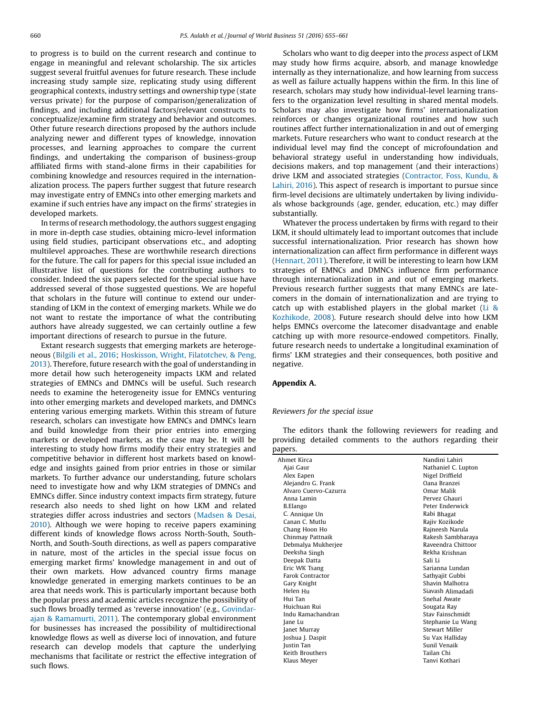<span id="page-5-0"></span>to progress is to build on the current research and continue to engage in meaningful and relevant scholarship. The six articles suggest several fruitful avenues for future research. These include increasing study sample size, replicating study using different geographical contexts, industry settings and ownership type (state versus private) for the purpose of comparison/generalization of findings, and including additional factors/relevant constructs to conceptualize/examine firm strategy and behavior and outcomes. Other future research directions proposed by the authors include analyzing newer and different types of knowledge, innovation processes, and learning approaches to compare the current findings, and undertaking the comparison of business-group affiliated firms with stand-alone firms in their capabilities for combining knowledge and resources required in the internationalization process. The papers further suggest that future research may investigate entry of EMNCs into other emerging markets and examine if such entries have any impact on the firms' strategies in developed markets.

In terms of research methodology, the authors suggest engaging in more in-depth case studies, obtaining micro-level information using field studies, participant observations etc., and adopting multilevel approaches. These are worthwhile research directions for the future. The call for papers for this special issue included an illustrative list of questions for the contributing authors to consider. Indeed the six papers selected for the special issue have addressed several of those suggested questions. We are hopeful that scholars in the future will continue to extend our understanding of LKM in the context of emerging markets. While we do not want to restate the importance of what the contributing authors have already suggested, we can certainly outline a few important directions of research to pursue in the future.

Extant research suggests that emerging markets are heterogeneous [\(Bilgili](#page-6-0) et al., 2016; Hoskisson, Wright, [Filatotchev,](#page-6-0) & Peng, [2013](#page-6-0)). Therefore, future research with the goal of understanding in more detail how such heterogeneity impacts LKM and related strategies of EMNCs and DMNCs will be useful. Such research needs to examine the heterogeneity issue for EMNCs venturing into other emerging markets and developed markets, and DMNCs entering various emerging markets. Within this stream of future research, scholars can investigate how EMNCs and DMNCs learn and build knowledge from their prior entries into emerging markets or developed markets, as the case may be. It will be interesting to study how firms modify their entry strategies and competitive behavior in different host markets based on knowledge and insights gained from prior entries in those or similar markets. To further advance our understanding, future scholars need to investigate how and why LKM strategies of DMNCs and EMNCs differ. Since industry context impacts firm strategy, future research also needs to shed light on how LKM and related strategies differ across industries and sectors ([Madsen](#page-6-0) & Desai, [2010](#page-6-0)). Although we were hoping to receive papers examining different kinds of knowledge flows across North-South, South-North, and South-South directions, as well as papers comparative in nature, most of the articles in the special issue focus on emerging market firms' knowledge management in and out of their own markets. How advanced country firms manage knowledge generated in emerging markets continues to be an area that needs work. This is particularly important because both the popular press and academic articles recognize the possibility of such flows broadly termed as 'reverse innovation' (e.g., [Govindar](#page-6-0)ajan & [Ramamurti,](#page-6-0) 2011). The contemporary global environment for businesses has increased the possibility of multidirectional knowledge flows as well as diverse loci of innovation, and future research can develop models that capture the underlying mechanisms that facilitate or restrict the effective integration of such flows.

Scholars who want to dig deeper into the process aspect of LKM may study how firms acquire, absorb, and manage knowledge internally as they internationalize, and how learning from success as well as failure actually happens within the firm. In this line of research, scholars may study how individual-level learning transfers to the organization level resulting in shared mental models. Scholars may also investigate how firms' internationalization reinforces or changes organizational routines and how such routines affect further internationalization in and out of emerging markets. Future researchers who want to conduct research at the individual level may find the concept of microfoundation and behavioral strategy useful in understanding how individuals, decisions makers, and top management (and their interactions) drive LKM and associated strategies [\(Contractor,](#page-6-0) Foss, Kundu, & [Lahiri,](#page-6-0) 2016). This aspect of research is important to pursue since firm-level decisions are ultimately undertaken by living individuals whose backgrounds (age, gender, education, etc.) may differ substantially.

Whatever the process undertaken by firms with regard to their LKM, it should ultimately lead to important outcomes that include successful internationalization. Prior research has shown how internationalization can affect firm performance in different ways ([Hennart,](#page-6-0) 2011). Therefore, it will be interesting to learn how LKM strategies of EMNCs and DMNCs influence firm performance through internationalization in and out of emerging markets. Previous research further suggests that many EMNCs are latecomers in the domain of internationalization and are trying to catch up with established players in the global market ([Li](#page-6-0) & [Kozhikode,](#page-6-0) 2008). Future research should delve into how LKM helps EMNCs overcome the latecomer disadvantage and enable catching up with more resource-endowed competitors. Finally, future research needs to undertake a longitudinal examination of firms' LKM strategies and their consequences, both positive and negative.

#### Appendix A.

#### Reviewers for the special issue

The editors thank the following reviewers for reading and providing detailed comments to the authors regarding their papers.

| Ahmet Kirca             | Nandini Lahiri      |  |
|-------------------------|---------------------|--|
| Ajai Gaur               | Nathaniel C. Lupton |  |
| Alex Eapen              | Nigel Driffield     |  |
| Alejandro G. Frank      | Oana Branzei        |  |
| Alvaro Cuervo-Cazurra   | Omar Malik          |  |
| Anna Lamin              | Pervez Ghauri       |  |
| <b>B.Elango</b>         | Peter Enderwick     |  |
| C. Annique Un           | Rabi Bhagat         |  |
| Canan C. Mutlu          | Rajiv Kozikode      |  |
| Chang Hoon Ho           | Rajneesh Narula     |  |
| Chinmay Pattnaik        | Rakesh Sambharaya   |  |
| Debmalya Mukherjee      | Raveendra Chittoor  |  |
| Deeksha Singh           | Rekha Krishnan      |  |
| Deepak Datta            | Sali Li             |  |
| Eric WK Tsang           | Sarianna Lundan     |  |
| <b>Farok Contractor</b> | Sathyajit Gubbi     |  |
| Gary Knight             | Shavin Malhotra     |  |
| Helen Hu                | Siavash Alimadadi   |  |
| Hui Tan                 | Snehal Awate        |  |
| Huichuan Rui            | Sougata Ray         |  |
| Indu Ramachandran       | Stav Fainschmidt    |  |
| Jane Lu                 | Stephanie Lu Wang   |  |
| Janet Murray            | Stewart Miller      |  |
| Joshua J. Daspit        | Su Vax Halliday     |  |
| <b>Iustin Tan</b>       | Sunil Venaik        |  |
| Keith Brouthers         | Tailan Chi          |  |
| Klaus Meyer             | Tanvi Kothari       |  |
|                         |                     |  |